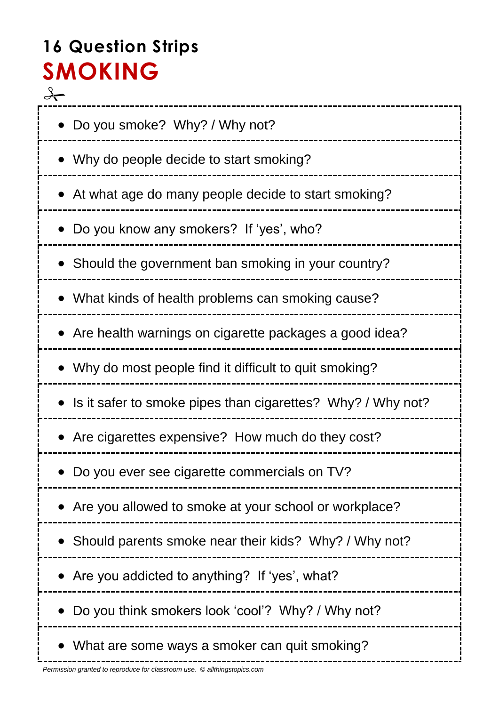# **16 Question Strips SMOKING**

 $\rightarrow$  Do you smoke? Why? / Why not? • Why do people decide to start smoking? At what age do many people decide to start smoking? Do you know any smokers? If 'yes', who? • Should the government ban smoking in your country? What kinds of health problems can smoking cause? • Are health warnings on cigarette packages a good idea? Why do most people find it difficult to quit smoking? • Is it safer to smoke pipes than cigarettes? Why? / Why not? Are cigarettes expensive? How much do they cost? Do you ever see cigarette commercials on TV? Are you allowed to smoke at your school or workplace? • Should parents smoke near their kids? Why? / Why not? Are you addicted to anything? If 'yes', what? Do you think smokers look 'cool'? Why? / Why not? • What are some ways a smoker can quit smoking?